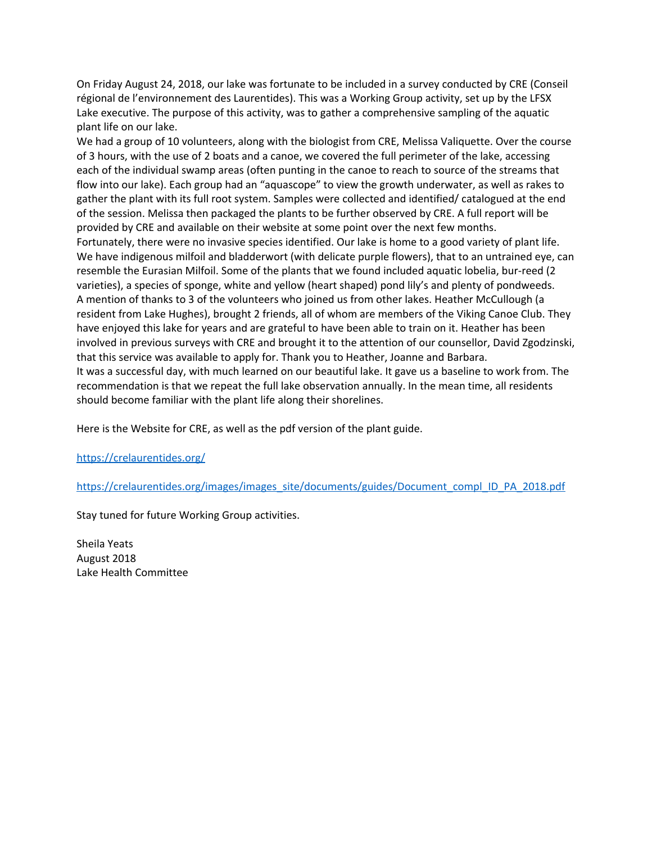On Friday August 24, 2018, our lake was fortunate to be included in a survey conducted by CRE (Conseil régional de l'environnement des Laurentides). This was a Working Group activity, set up by the LFSX Lake executive. The purpose of this activity, was to gather a comprehensive sampling of the aquatic plant life on our lake.

We had a group of 10 volunteers, along with the biologist from CRE, Melissa Valiquette. Over the course of 3 hours, with the use of 2 boats and a canoe, we covered the full perimeter of the lake, accessing each of the individual swamp areas (often punting in the canoe to reach to source of the streams that flow into our lake). Each group had an "aquascope" to view the growth underwater, as well as rakes to gather the plant with its full root system. Samples were collected and identified/ catalogued at the end of the session. Melissa then packaged the plants to be further observed by CRE. A full report will be provided by CRE and available on their website at some point over the next few months. Fortunately, there were no invasive species identified. Our lake is home to a good variety of plant life. We have indigenous milfoil and bladderwort (with delicate purple flowers), that to an untrained eye, can resemble the Eurasian Milfoil. Some of the plants that we found included aquatic lobelia, bur-reed (2 varieties), a species of sponge, white and yellow (heart shaped) pond lily's and plenty of pondweeds. A mention of thanks to 3 of the volunteers who joined us from other lakes. Heather McCullough (a resident from Lake Hughes), brought 2 friends, all of whom are members of the Viking Canoe Club. They have enjoyed this lake for years and are grateful to have been able to train on it. Heather has been involved in previous surveys with CRE and brought it to the attention of our counsellor, David Zgodzinski, that this service was available to apply for. Thank you to Heather, Joanne and Barbara. It was a successful day, with much learned on our beautiful lake. It gave us a baseline to work from. The recommendation is that we repeat the full lake observation annually. In the mean time, all residents should become familiar with the plant life along their shorelines.

Here is the Website for CRE, as well as the pdf version of the plant guide.

<https://crelaurentides.org/>

[https://crelaurentides.org/images/images\\_site/documents/guides/Document\\_compl\\_ID\\_PA\\_2018.pdf](https://crelaurentides.org/images/images_site/documents/guides/Document_compl_ID_PA_2018.pdf)

Stay tuned for future Working Group activities.

Sheila Yeats August 2018 Lake Health Committee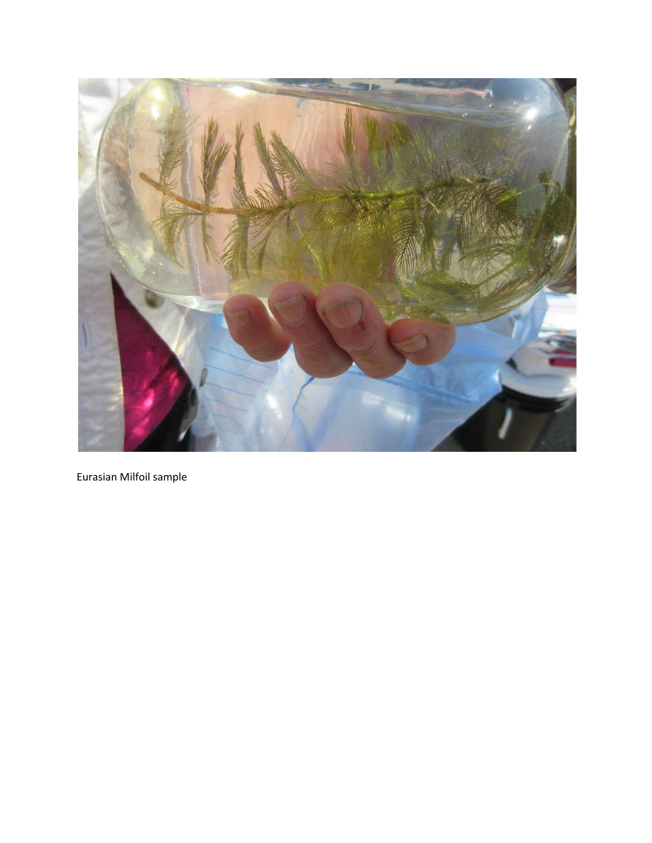

Eurasian Milfoil sample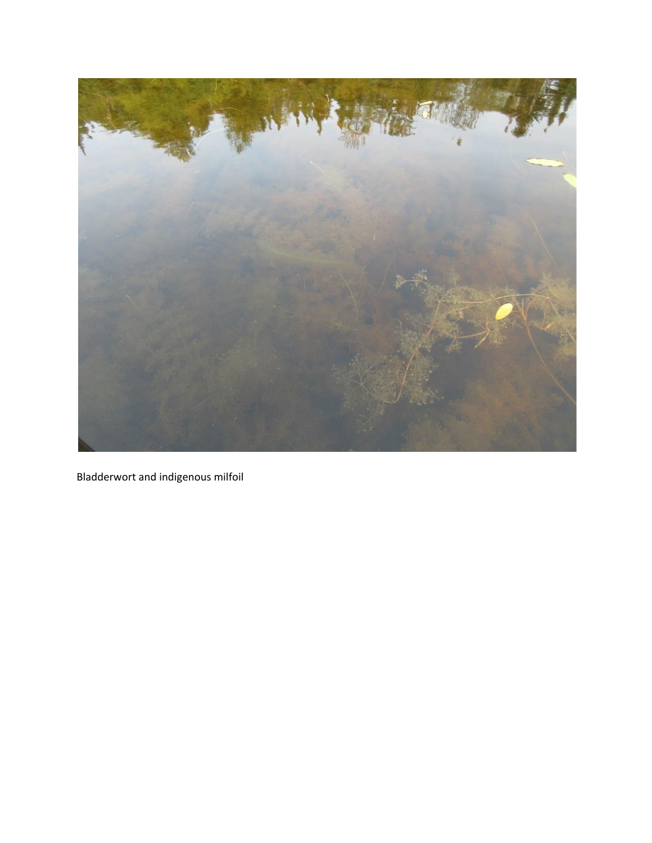

Bladderwort and indigenous milfoil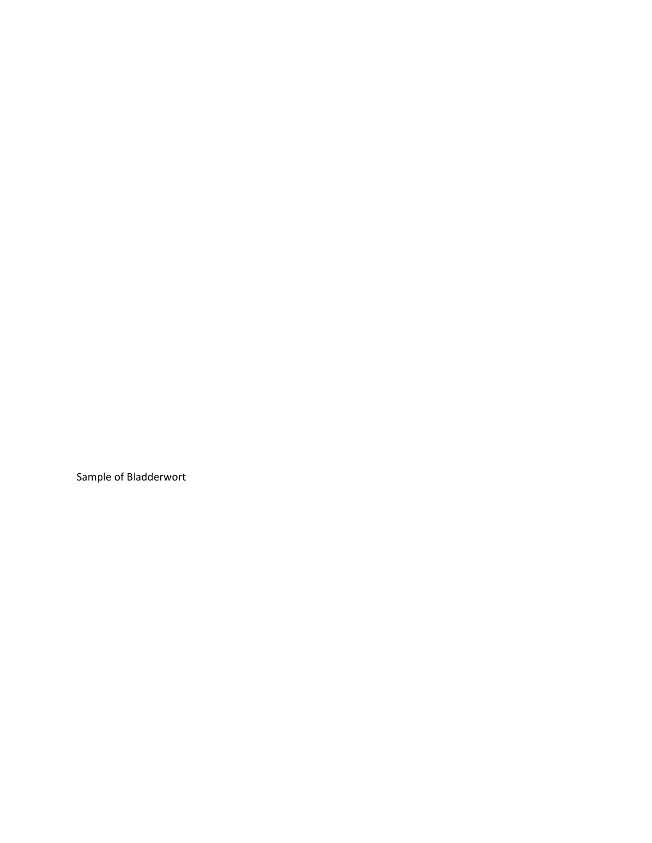Sample of Bladderwort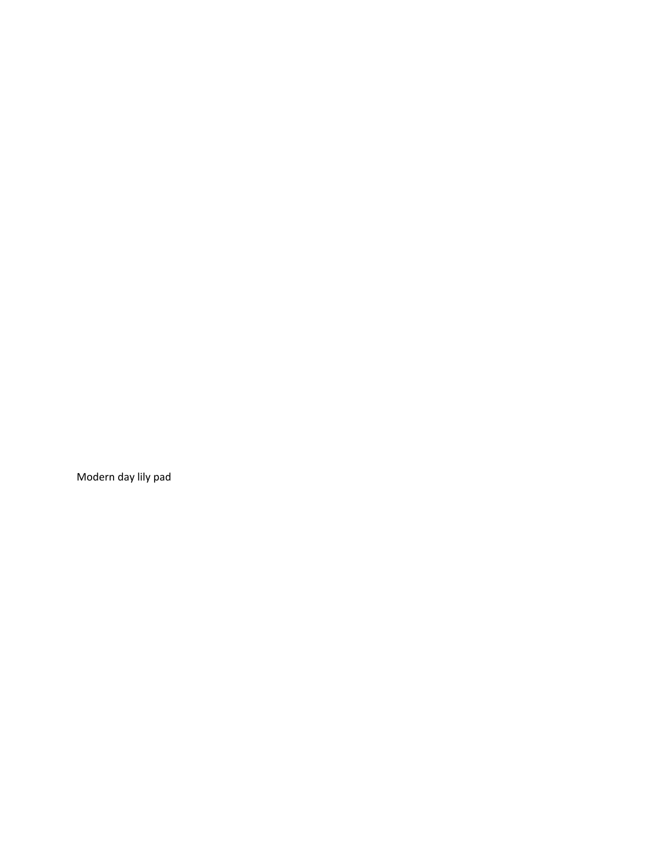Modern day lily pad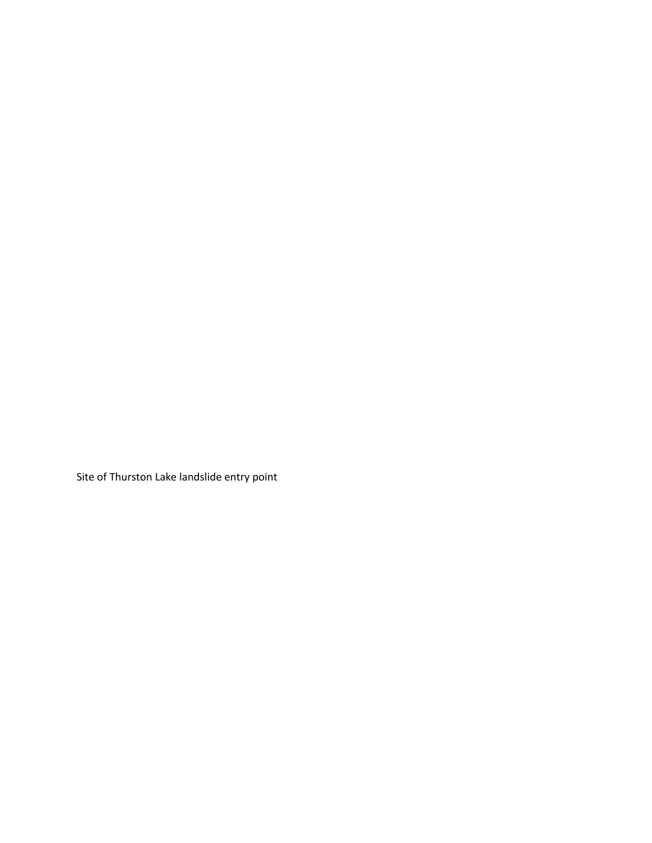Site of Thurston Lake landslide entry point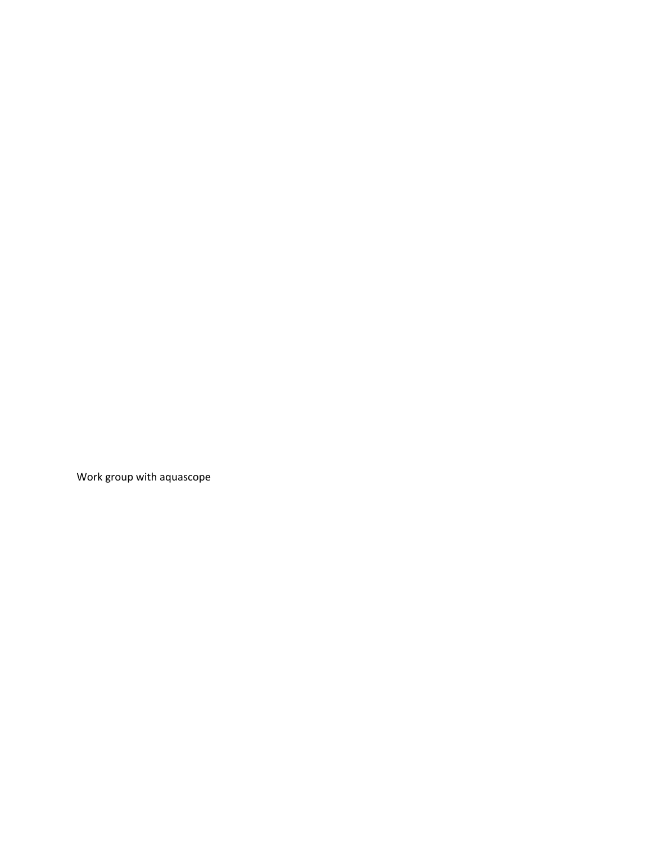Work group with aquascope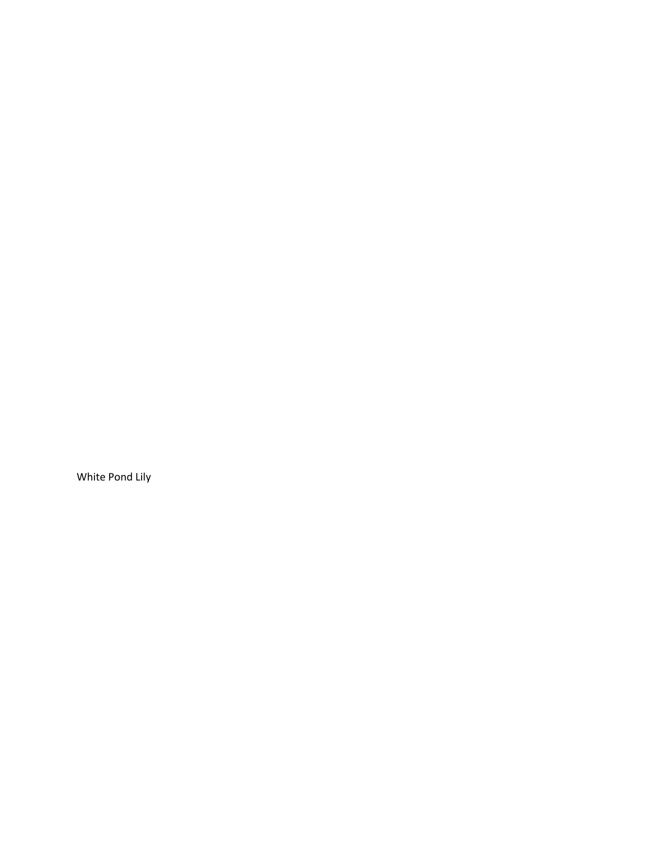White Pond Lily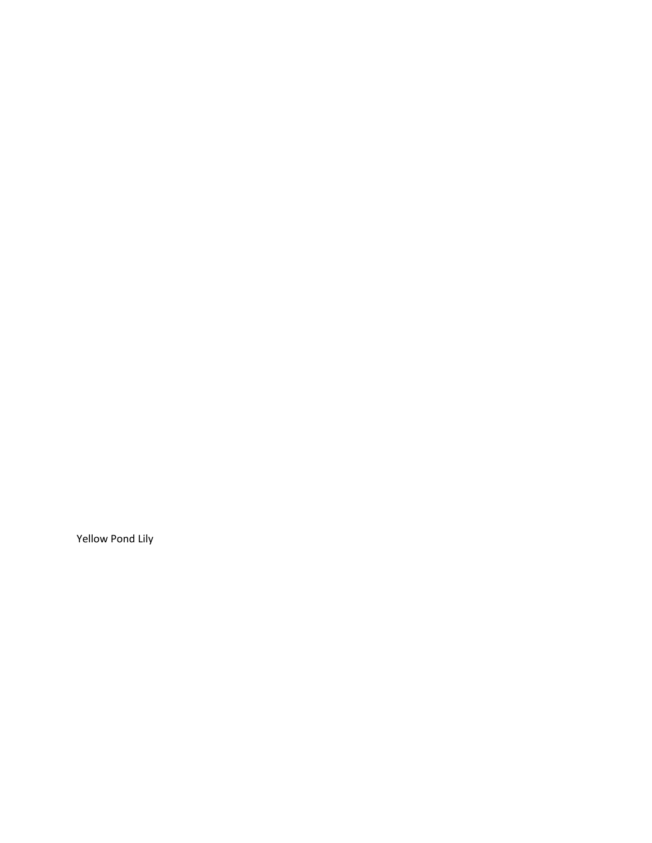Yellow Pond Lily